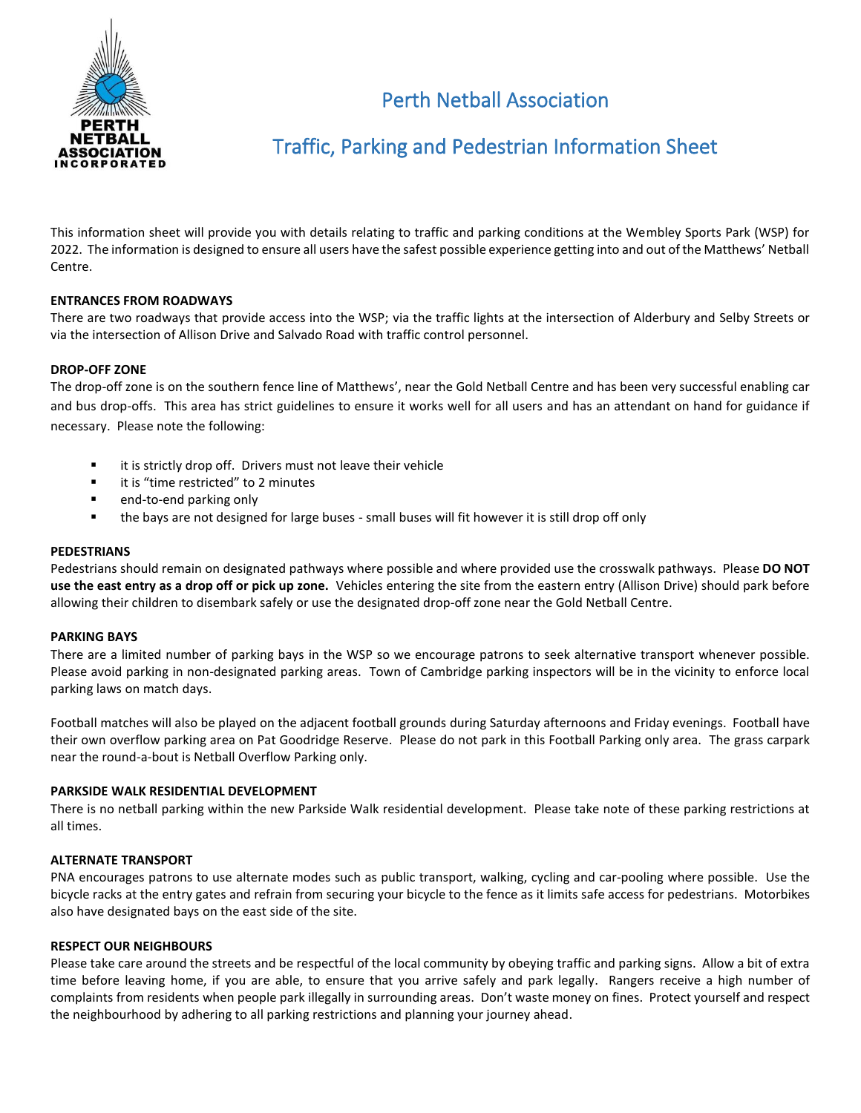

# Perth Netball Association

## Traffic, Parking and Pedestrian Information Sheet

This information sheet will provide you with details relating to traffic and parking conditions at the Wembley Sports Park (WSP) for 2022. The information is designed to ensure all users have the safest possible experience getting into and out of the Matthews' Netball Centre.

#### **ENTRANCES FROM ROADWAYS**

There are two roadways that provide access into the WSP; via the traffic lights at the intersection of Alderbury and Selby Streets or via the intersection of Allison Drive and Salvado Road with traffic control personnel.

#### **DROP-OFF ZONE**

The drop-off zone is on the southern fence line of Matthews', near the Gold Netball Centre and has been very successful enabling car and bus drop-offs. This area has strict guidelines to ensure it works well for all users and has an attendant on hand for guidance if necessary. Please note the following:

- it is strictly drop off. Drivers must not leave their vehicle
- it is "time restricted" to 2 minutes
- end-to-end parking only
- the bays are not designed for large buses small buses will fit however it is still drop off only

#### **PEDESTRIANS**

Pedestrians should remain on designated pathways where possible and where provided use the crosswalk pathways. Please **DO NOT use the east entry as a drop off or pick up zone.** Vehicles entering the site from the eastern entry (Allison Drive) should park before allowing their children to disembark safely or use the designated drop-off zone near the Gold Netball Centre. 

#### **PARKING BAYS**

There are a limited number of parking bays in the WSP so we encourage patrons to seek alternative transport whenever possible. Please avoid parking in non-designated parking areas. Town of Cambridge parking inspectors will be in the vicinity to enforce local parking laws on match days.

Football matches will also be played on the adjacent football grounds during Saturday afternoons and Friday evenings. Football have their own overflow parking area on Pat Goodridge Reserve. Please do not park in this Football Parking only area. The grass carpark near the round-a-bout is Netball Overflow Parking only.

#### **PARKSIDE WALK RESIDENTIAL DEVELOPMENT**

There is no netball parking within the new Parkside Walk residential development. Please take note of these parking restrictions at all times.

#### **ALTERNATE TRANSPORT**

PNA encourages patrons to use alternate modes such as public transport, walking, cycling and car-pooling where possible. Use the bicycle racks at the entry gates and refrain from securing your bicycle to the fence as it limits safe access for pedestrians. Motorbikes also have designated bays on the east side of the site. 

#### **RESPECT OUR NEIGHBOURS**

Please take care around the streets and be respectful of the local community by obeying traffic and parking signs. Allow a bit of extra time before leaving home, if you are able, to ensure that you arrive safely and park legally. Rangers receive a high number of complaints from residents when people park illegally in surrounding areas. Don't waste money on fines. Protect yourself and respect the neighbourhood by adhering to all parking restrictions and planning your journey ahead.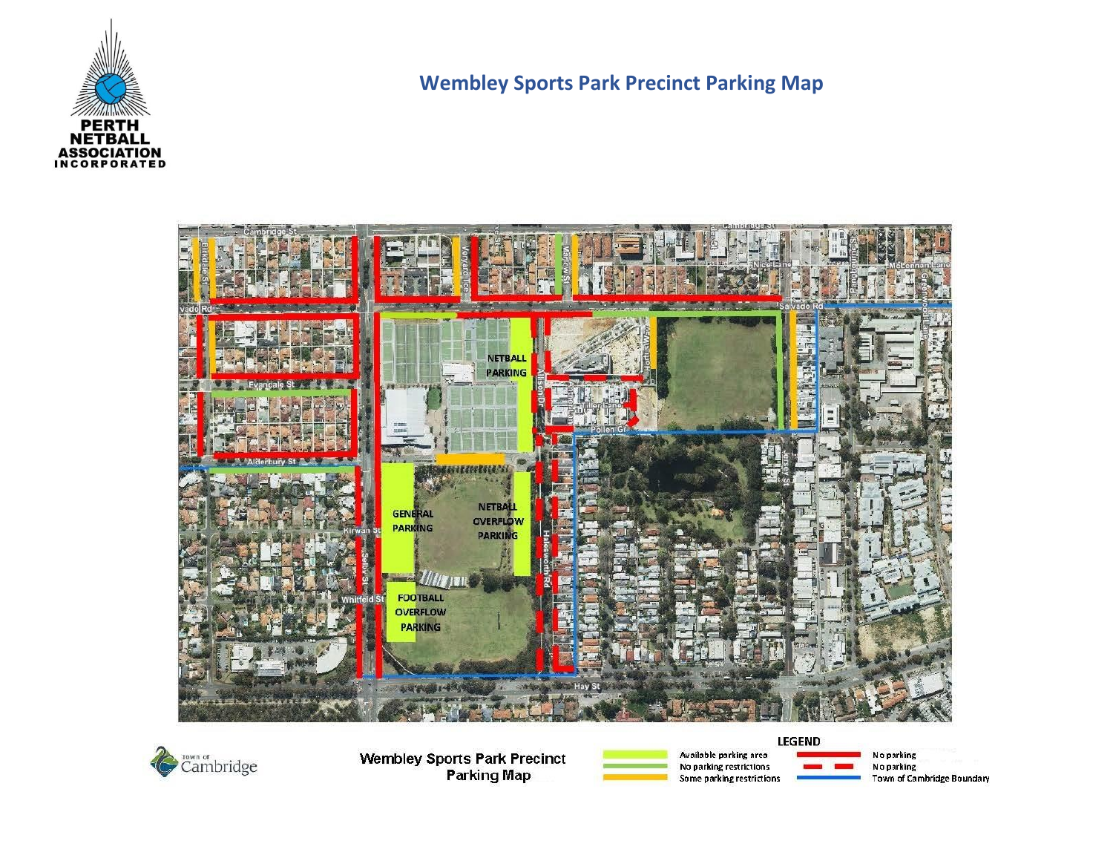

### **Wembley Sports Park Precinct Parking Map**





**Wembley Sports Park Precinct Parking Map** 



Available parking area No parking restrictions Some parking restrictions

No parking<br>No parking Town of Cambridge Boundary